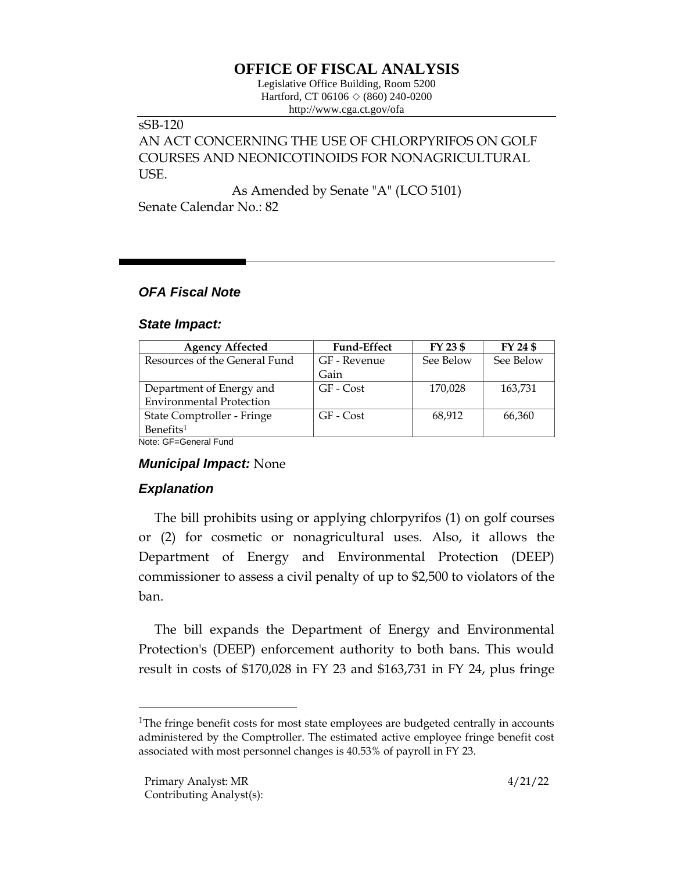# **OFFICE OF FISCAL ANALYSIS**

Legislative Office Building, Room 5200 Hartford, CT 06106  $\Diamond$  (860) 240-0200 http://www.cga.ct.gov/ofa

### sSB-120

AN ACT CONCERNING THE USE OF CHLORPYRIFOS ON GOLF COURSES AND NEONICOTINOIDS FOR NONAGRICULTURAL USE.

As Amended by Senate "A" (LCO 5101) Senate Calendar No.: 82

## *OFA Fiscal Note*

#### *State Impact:*

| <b>Agency Affected</b>          | <b>Fund-Effect</b> | FY 23 \$  | FY 24 \$  |
|---------------------------------|--------------------|-----------|-----------|
| Resources of the General Fund   | GF - Revenue       | See Below | See Below |
|                                 | Gain               |           |           |
| Department of Energy and        | GF - Cost          | 170,028   | 163,731   |
| <b>Environmental Protection</b> |                    |           |           |
| State Comptroller - Fringe      | GF - Cost          | 68,912    | 66,360    |
| Benefits <sup>1</sup>           |                    |           |           |

Note: GF=General Fund

## *Municipal Impact:* None

## *Explanation*

The bill prohibits using or applying chlorpyrifos (1) on golf courses or (2) for cosmetic or nonagricultural uses. Also, it allows the Department of Energy and Environmental Protection (DEEP) commissioner to assess a civil penalty of up to \$2,500 to violators of the ban.

The bill expands the Department of Energy and Environmental Protection's (DEEP) enforcement authority to both bans. This would result in costs of \$170,028 in FY 23 and \$163,731 in FY 24, plus fringe

<sup>&</sup>lt;sup>1</sup>The fringe benefit costs for most state employees are budgeted centrally in accounts administered by the Comptroller. The estimated active employee fringe benefit cost associated with most personnel changes is 40.53% of payroll in FY 23.